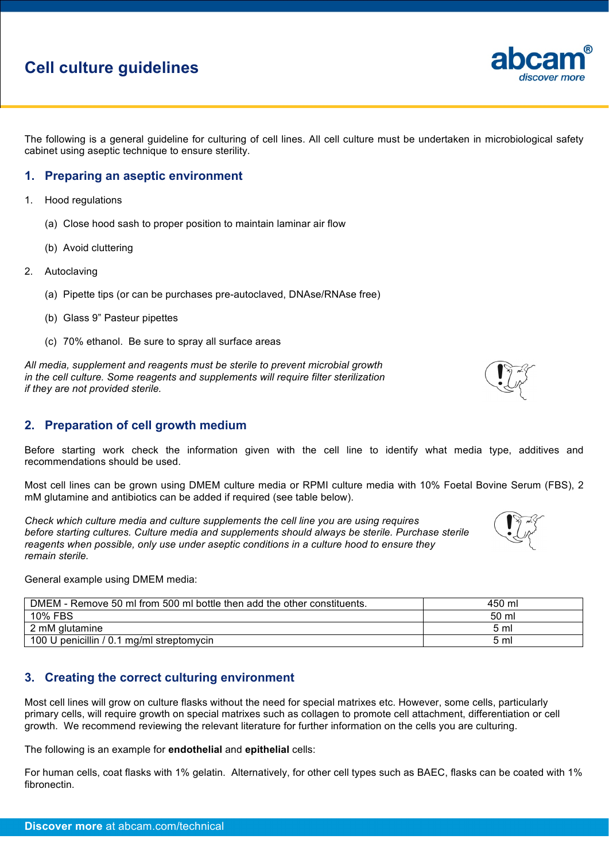# **Cell culture guidelines**

The following is a general guideline for culturing of cell lines. All cell culture must be undertaken in microbiological safety cabinet using aseptic technique to ensure sterility.

#### **1. Preparing an aseptic environment**

- 1. Hood regulations
	- (a) Close hood sash to proper position to maintain laminar air flow
	- (b) Avoid cluttering
- 2. Autoclaving
	- (a) Pipette tips (or can be purchases pre-autoclaved, DNAse/RNAse free)
	- (b) Glass 9" Pasteur pipettes
	- (c) 70% ethanol. Be sure to spray all surface areas

*All media, supplement and reagents must be sterile to prevent microbial growth in the cell culture. Some reagents and supplements will require filter sterilization if they are not provided sterile.*

#### **2. Preparation of cell growth medium**

Before starting work check the information given with the cell line to identify what media type, additives and recommendations should be used.

Most cell lines can be grown using DMEM culture media or RPMI culture media with 10% Foetal Bovine Serum (FBS), 2 mM glutamine and antibiotics can be added if required (see table below).

*Check which culture media and culture supplements the cell line you are using requires before starting cultures. Culture media and supplements should always be sterile. Purchase sterile reagents when possible, only use under aseptic conditions in a culture hood to ensure they remain sterile.*

General example using DMEM media:

| DMEM - Remove 50 ml from 500 ml bottle then add the other constituents. | 450 ml |
|-------------------------------------------------------------------------|--------|
| 10% FBS                                                                 | 50 ml  |
| 2 mM glutamine                                                          | 5 ml   |
| 100 U penicillin / 0.1 mg/ml streptomycin                               | 5 ml   |

#### **3. Creating the correct culturing environment**

Most cell lines will grow on culture flasks without the need for special matrixes etc. However, some cells, particularly primary cells, will require growth on special matrixes such as collagen to promote cell attachment, differentiation or cell growth. We recommend reviewing the relevant literature for further information on the cells you are culturing.

The following is an example for **endothelial** and **epithelial** cells:

For human cells, coat flasks with 1% gelatin. Alternatively, for other cell types such as BAEC, flasks can be coated with 1% fibronectin.



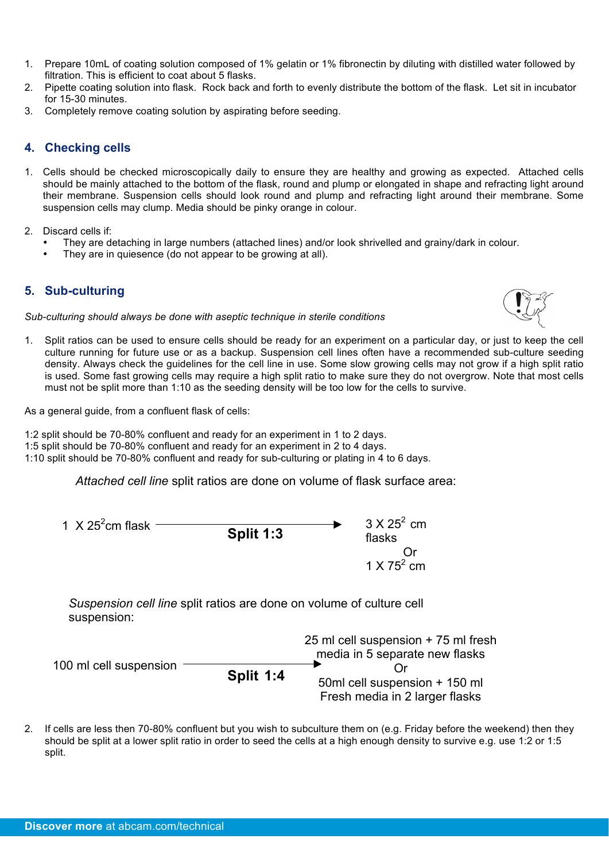- 1. Prepare 10mL of coating solution composed of 1% gelatin or 1% fibronectin by diluting with distilled water followed by filtration. This is efficient to coat about 5 flasks.
- 2. Pipette coating solution into flask. Rock back and forth to evenly distribute the bottom of the flask. Let sit in incubator for 15-30 minutes.
- 3. Completely remove coating solution by aspirating before seeding.

# **4. Checking cells**

- 1. Cells should be checked microscopically daily to ensure they are healthy and growing as expected. Attached cells should be mainly attached to the bottom of the flask, round and plump or elongated in shape and refracting light around their membrane. Suspension cells should look round and plump and refracting light around their membrane. Some suspension cells may clump. Media should be pinky orange in colour.
- 2. Discard cells if:
	- They are detaching in large numbers (attached lines) and/or look shrivelled and grainy/dark in colour.
	- They are in quiesence (do not appear to be growing at all).

# **5. Sub-culturing**

*Sub-culturing should always be done with aseptic technique in sterile conditions*

1. Split ratios can be used to ensure cells should be ready for an experiment on a particular day, or just to keep the cell culture running for future use or as a backup. Suspension cell lines often have a recommended sub-culture seeding density. Always check the guidelines for the cell line in use. Some slow growing cells may not grow if a high split ratio is used. Some fast growing cells may require a high split ratio to make sure they do not overgrow. Note that most cells must not be split more than 1:10 as the seeding density will be too low for the cells to survive.

As a general quide, from a confluent flask of cells:

- 1:2 split should be 70-80% confluent and ready for an experiment in 1 to 2 days.
- 1:5 split should be 70-80% confluent and ready for an experiment in 2 to 4 days.
- 1:10 split should be 70-80% confluent and ready for sub-culturing or plating in 4 to 6 days.

*Attached cell line* split ratios are done on volume of flask surface area:



*Suspension cell line* split ratios are done on volume of culture cell suspension:

| 100 ml cell suspension |           | 25 ml cell suspension + 75 ml fresh<br>media in 5 separate new flasks |
|------------------------|-----------|-----------------------------------------------------------------------|
|                        | Split 1:4 | 50ml cell suspension + 150 ml<br>Fresh media in 2 larger flasks       |

2. If cells are less then 70-80% confluent but you wish to subculture them on (e.g. Friday before the weekend) then they should be split at a lower split ratio in order to seed the cells at a high enough density to survive e.g. use 1:2 or 1:5 split.

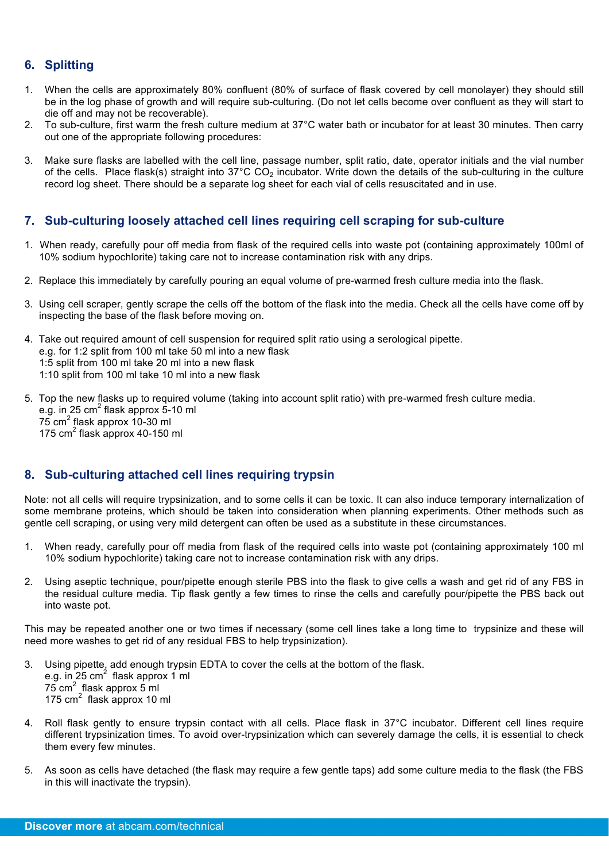# **6. Splitting**

- 1. When the cells are approximately 80% confluent (80% of surface of flask covered by cell monolayer) they should still be in the log phase of growth and will require sub-culturing. (Do not let cells become over confluent as they will start to die off and may not be recoverable).
- 2. To sub-culture, first warm the fresh culture medium at 37°C water bath or incubator for at least 30 minutes. Then carry out one of the appropriate following procedures:
- 3. Make sure flasks are labelled with the cell line, passage number, split ratio, date, operator initials and the vial number of the cells. Place flask(s) straight into  $37^{\circ}$ C CO<sub>2</sub> incubator. Write down the details of the sub-culturing in the culture record log sheet. There should be a separate log sheet for each vial of cells resuscitated and in use.

# **7. Sub-culturing loosely attached cell lines requiring cell scraping for sub-culture**

- 1. When ready, carefully pour off media from flask of the required cells into waste pot (containing approximately 100ml of 10% sodium hypochlorite) taking care not to increase contamination risk with any drips.
- 2. Replace this immediately by carefully pouring an equal volume of pre-warmed fresh culture media into the flask.
- 3. Using cell scraper, gently scrape the cells off the bottom of the flask into the media. Check all the cells have come off by inspecting the base of the flask before moving on.
- 4. Take out required amount of cell suspension for required split ratio using a serological pipette. e.g. for 1:2 split from 100 ml take 50 ml into a new flask 1:5 split from 100 ml take 20 ml into a new flask 1:10 split from 100 ml take 10 ml into a new flask
- 5. Top the new flasks up to required volume (taking into account split ratio) with pre-warmed fresh culture media. e.g. in 25 cm $^2$  flask approx 5-10 ml 75 cm<sup>2</sup> flask approx 10-30 ml 175  $cm<sup>2</sup>$  flask approx 40-150 ml

# **8. Sub-culturing attached cell lines requiring trypsin**

Note: not all cells will require trypsinization, and to some cells it can be toxic. It can also induce temporary internalization of some membrane proteins, which should be taken into consideration when planning experiments. Other methods such as gentle cell scraping, or using very mild detergent can often be used as a substitute in these circumstances.

- 1. When ready, carefully pour off media from flask of the required cells into waste pot (containing approximately 100 ml 10% sodium hypochlorite) taking care not to increase contamination risk with any drips.
- 2. Using aseptic technique, pour/pipette enough sterile PBS into the flask to give cells a wash and get rid of any FBS in the residual culture media. Tip flask gently a few times to rinse the cells and carefully pour/pipette the PBS back out into waste pot.

This may be repeated another one or two times if necessary (some cell lines take a long time to trypsinize and these will need more washes to get rid of any residual FBS to help trypsinization).

- 3. Using pipette, add enough trypsin EDTA to cover the cells at the bottom of the flask. e.g. in 25  $\text{cm}^2$  flask approx 1 ml  $75 \text{ cm}^2$  flask approx 5 ml 175 cm<sup>2</sup> flask approx 10 ml
- 4. Roll flask gently to ensure trypsin contact with all cells. Place flask in 37°C incubator. Different cell lines require different trypsinization times. To avoid over-trypsinization which can severely damage the cells, it is essential to check them every few minutes.
- 5. As soon as cells have detached (the flask may require a few gentle taps) add some culture media to the flask (the FBS in this will inactivate the trypsin).